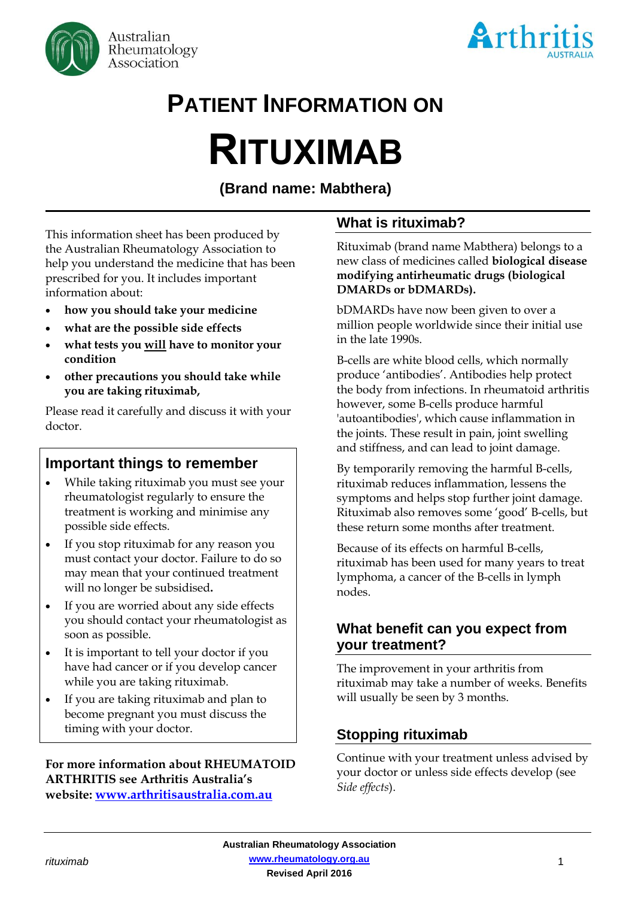



# **PATIENT INFORMATION ON**

# **RITUXIMAB**

# **(Brand name: Mabthera)**

This information sheet has been produced by the Australian Rheumatology Association to help you understand the medicine that has been prescribed for you. It includes important information about:

- **how you should take your medicine**
- **what are the possible side effects**
- **what tests you will have to monitor your condition**
- **other precautions you should take while you are taking rituximab,**

Please read it carefully and discuss it with your doctor.

# **Important things to remember**

- While taking rituximab you must see your rheumatologist regularly to ensure the treatment is working and minimise any possible side effects.
- If you stop rituximab for any reason you must contact your doctor. Failure to do so may mean that your continued treatment will no longer be subsidised**.**
- If you are worried about any side effects you should contact your rheumatologist as soon as possible.
- It is important to tell your doctor if you have had cancer or if you develop cancer while you are taking rituximab.
- If you are taking rituximab and plan to become pregnant you must discuss the timing with your doctor.

#### **For more information about RHEUMATOID ARTHRITIS see Arthritis Australia's website: [www.arthritisaustralia.com.au](http://www.arthritisaustralia.com.au/)**

# **What is rituximab?**

Rituximab (brand name Mabthera) belongs to a new class of medicines called **biological disease modifying antirheumatic drugs (biological DMARDs or bDMARDs).** 

bDMARDs have now been given to over a million people worldwide since their initial use in the late 1990s.

B-cells are white blood cells, which normally produce 'antibodies'. Antibodies help protect the body from infections. In rheumatoid arthritis however, some B-cells produce harmful 'autoantibodies', which cause inflammation in the joints. These result in pain, joint swelling and stiffness, and can lead to joint damage.

By temporarily removing the harmful B-cells, rituximab reduces inflammation, lessens the symptoms and helps stop further joint damage. Rituximab also removes some 'good' B-cells, but these return some months after treatment.

Because of its effects on harmful B-cells, rituximab has been used for many years to treat lymphoma, a cancer of the B-cells in lymph nodes.

# **What benefit can you expect from your treatment?**

The improvement in your arthritis from rituximab may take a number of weeks. Benefits will usually be seen by 3 months.

# **Stopping rituximab**

Continue with your treatment unless advised by your doctor or unless side effects develop (see *Side effects*).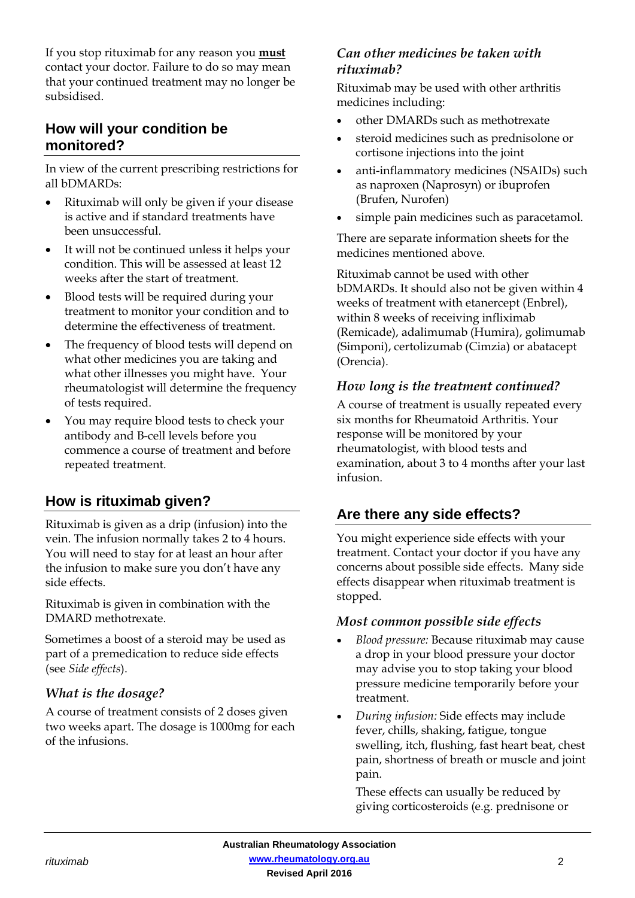If you stop rituximab for any reason you **must** contact your doctor. Failure to do so may mean that your continued treatment may no longer be subsidised.

# **How will your condition be monitored?**

In view of the current prescribing restrictions for all bDMARDs:

- Rituximab will only be given if your disease is active and if standard treatments have been unsuccessful.
- It will not be continued unless it helps your condition. This will be assessed at least 12 weeks after the start of treatment.
- Blood tests will be required during your treatment to monitor your condition and to determine the effectiveness of treatment.
- The frequency of blood tests will depend on what other medicines you are taking and what other illnesses you might have. Your rheumatologist will determine the frequency of tests required.
- You may require blood tests to check your antibody and B-cell levels before you commence a course of treatment and before repeated treatment.

# **How is rituximab given?**

Rituximab is given as a drip (infusion) into the vein. The infusion normally takes 2 to 4 hours. You will need to stay for at least an hour after the infusion to make sure you don't have any side effects.

Rituximab is given in combination with the DMARD methotrexate.

Sometimes a boost of a steroid may be used as part of a premedication to reduce side effects (see *Side effects*).

# *What is the dosage?*

A course of treatment consists of 2 doses given two weeks apart. The dosage is 1000mg for each of the infusions.

#### *Can other medicines be taken with rituximab?*

Rituximab may be used with other arthritis medicines including:

- other DMARDs such as methotrexate
- steroid medicines such as prednisolone or cortisone injections into the joint
- anti-inflammatory medicines (NSAIDs) such as naproxen (Naprosyn) or ibuprofen (Brufen, Nurofen)
- simple pain medicines such as paracetamol.

There are separate information sheets for the medicines mentioned above.

Rituximab cannot be used with other bDMARDs. It should also not be given within 4 weeks of treatment with etanercept (Enbrel), within 8 weeks of receiving infliximab (Remicade), adalimumab (Humira), golimumab (Simponi), certolizumab (Cimzia) or abatacept (Orencia).

# *How long is the treatment continued?*

A course of treatment is usually repeated every six months for Rheumatoid Arthritis. Your response will be monitored by your rheumatologist, with blood tests and examination, about 3 to 4 months after your last infusion.

# **Are there any side effects?**

You might experience side effects with your treatment. Contact your doctor if you have any concerns about possible side effects. Many side effects disappear when rituximab treatment is stopped.

#### *Most common possible side effects*

- *Blood pressure:* Because rituximab may cause a drop in your blood pressure your doctor may advise you to stop taking your blood pressure medicine temporarily before your treatment.
- *During infusion:* Side effects may include fever, chills, shaking, fatigue, tongue swelling, itch, flushing, fast heart beat, chest pain, shortness of breath or muscle and joint pain.

These effects can usually be reduced by giving corticosteroids (e.g. prednisone or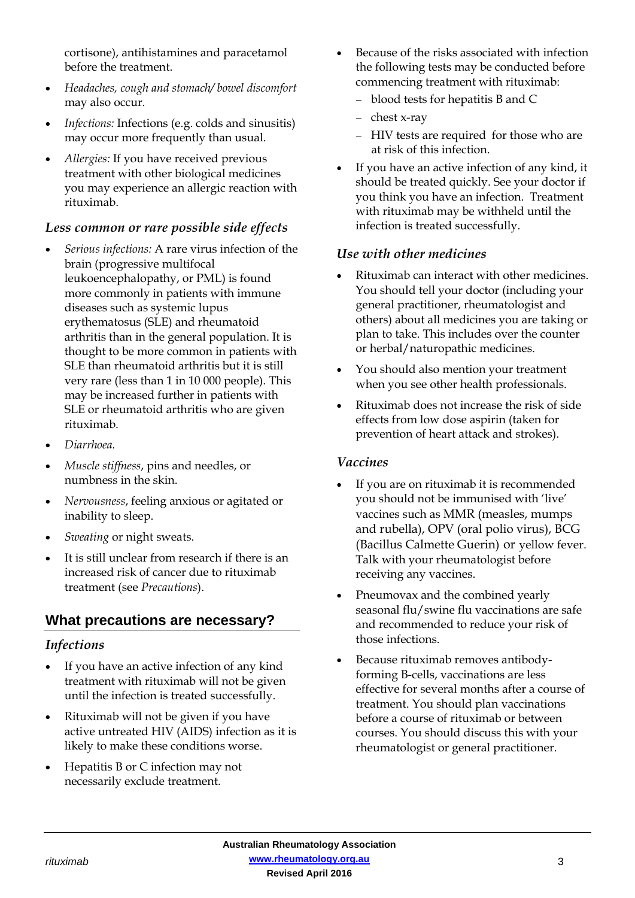cortisone), antihistamines and paracetamol before the treatment.

- *Headaches, cough and stomach/ bowel discomfort* may also occur.
- *Infections:* Infections (e.g. colds and sinusitis) may occur more frequently than usual.
- *Allergies:* If you have received previous treatment with other biological medicines you may experience an allergic reaction with rituximab.

#### *Less common or rare possible side effects*

- *Serious infections:* A rare virus infection of the brain (progressive multifocal leukoencephalopathy, or PML) is found more commonly in patients with immune diseases such as systemic lupus erythematosus (SLE) and rheumatoid arthritis than in the general population. It is thought to be more common in patients with SLE than rheumatoid arthritis but it is still very rare (less than 1 in 10 000 people). This may be increased further in patients with SLE or rheumatoid arthritis who are given rituximab.
- *Diarrhoea.*
- *Muscle stiffness*, pins and needles, or numbness in the skin.
- *Nervousness*, feeling anxious or agitated or inability to sleep.
- *Sweating* or night sweats.
- It is still unclear from research if there is an increased risk of cancer due to rituximab treatment (see *Precautions*).

# **What precautions are necessary?**

#### *Infections*

- If you have an active infection of any kind treatment with rituximab will not be given until the infection is treated successfully.
- Rituximab will not be given if you have active untreated HIV (AIDS) infection as it is likely to make these conditions worse.
- Hepatitis B or C infection may not necessarily exclude treatment.
- Because of the risks associated with infection the following tests may be conducted before commencing treatment with rituximab:
	- blood tests for hepatitis B and C
	- $-$  chest x-ray
	- HIV tests are required for those who are at risk of this infection.
- If you have an active infection of any kind, it should be treated quickly. See your doctor if you think you have an infection. Treatment with rituximab may be withheld until the infection is treated successfully.

#### *Use with other medicines*

- Rituximab can interact with other medicines. You should tell your doctor (including your general practitioner, rheumatologist and others) about all medicines you are taking or plan to take. This includes over the counter or herbal/naturopathic medicines.
- You should also mention your treatment when you see other health professionals.
- Rituximab does not increase the risk of side effects from low dose aspirin (taken for prevention of heart attack and strokes).

#### *Vaccines*

- If you are on rituximab it is recommended you should not be immunised with 'live' vaccines such as MMR (measles, mumps and rubella), OPV (oral polio virus), BCG (Bacillus Calmette Guerin) or yellow fever. Talk with your rheumatologist before receiving any vaccines.
- Pneumovax and the combined yearly seasonal flu/swine flu vaccinations are safe and recommended to reduce your risk of those infections.
- Because rituximab removes antibodyforming B-cells, vaccinations are less effective for several months after a course of treatment. You should plan vaccinations before a course of rituximab or between courses. You should discuss this with your rheumatologist or general practitioner.